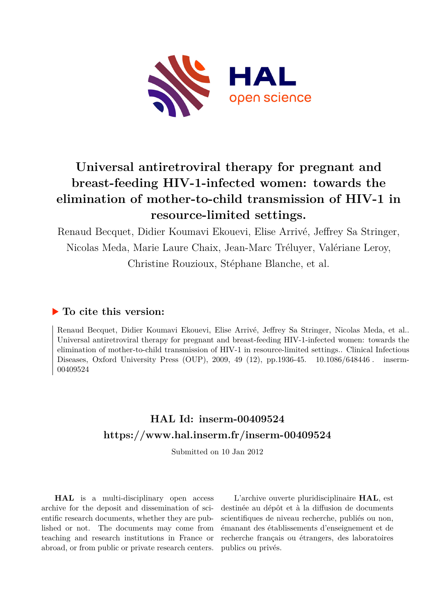

# **Universal antiretroviral therapy for pregnant and breast-feeding HIV-1-infected women: towards the elimination of mother-to-child transmission of HIV-1 in resource-limited settings.**

Renaud Becquet, Didier Koumavi Ekouevi, Elise Arrivé, Jeffrey Sa Stringer, Nicolas Meda, Marie Laure Chaix, Jean-Marc Tréluyer, Valériane Leroy, Christine Rouzioux, Stéphane Blanche, et al.

## **To cite this version:**

Renaud Becquet, Didier Koumavi Ekouevi, Elise Arrivé, Jeffrey Sa Stringer, Nicolas Meda, et al.. Universal antiretroviral therapy for pregnant and breast-feeding HIV-1-infected women: towards the elimination of mother-to-child transmission of HIV-1 in resource-limited settings.. Clinical Infectious Diseases, Oxford University Press (OUP), 2009, 49 (12), pp.1936-45.  $10.1086/648446$ . inserm-00409524ff

## **HAL Id: inserm-00409524 <https://www.hal.inserm.fr/inserm-00409524>**

Submitted on 10 Jan 2012

**HAL** is a multi-disciplinary open access archive for the deposit and dissemination of scientific research documents, whether they are published or not. The documents may come from teaching and research institutions in France or abroad, or from public or private research centers.

L'archive ouverte pluridisciplinaire **HAL**, est destinée au dépôt et à la diffusion de documents scientifiques de niveau recherche, publiés ou non, émanant des établissements d'enseignement et de recherche français ou étrangers, des laboratoires publics ou privés.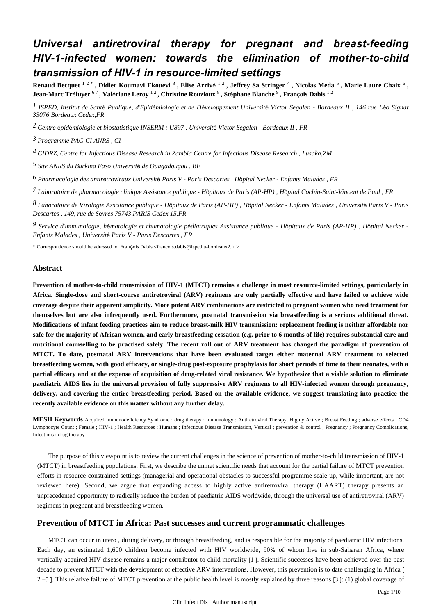## *Universal antiretroviral therapy for pregnant and breast-feeding HIV-1-infected women: towards the elimination of mother-to-child transmission of HIV-1 in resource-limited settings*

Renaud Becquet <sup>12</sup>, Didier Koumavi Ekouevi<sup>3</sup>, Elise Arrivé <sup>12</sup>, Jeffrey Sa Stringer <sup>4</sup>, Nicolas Meda <sup>5</sup>, Marie Laure Chaix <sup>6</sup>, **Jean-Marc Tr**é**luyer** 6 7 **, Val**é**riane Leroy** 1 2 **, Christine Rouzioux** <sup>8</sup> **, St**é**phane Blanche** <sup>9</sup> **, Fran**ç**ois Dabis** 1 2

*ISPED, Institut de Sant Publique, d Epid miologie et de D veloppement 1* <sup>é</sup> ' <sup>é</sup> <sup>é</sup> *Universit*é *Victor Segalen - Bordeaux II , 146 rue L*é*o Signat 33076 Bordeaux Cedex,FR*

*Centre pid miologie et biostatistique 2* <sup>é</sup> <sup>é</sup> *INSERM : U897 , Universit*é *Victor Segalen - Bordeaux II , FR*

*Programme PAC-CI 3 ANRS , CI*

*CIDRZ, Centre for Infectious Disease Research in Zambia 4 Centre for Infectious Disease Research , Lusaka,ZM*

*Site ANRS du Burkina Faso 5 Universit*é *de Ouagadougou , BF*

*Pharmacologie des antir troviraux 6* <sup>é</sup> *Universit*é *Paris V - Paris Descartes , H*ô*pital Necker - Enfants Malades , FR*

*Laboratoire de pharmacologie clinique 7 Assistance publique - H*ô*pitaux de Paris (AP-HP) , H*ô*pital Cochin-Saint-Vincent de Paul , FR*

*Laboratoire de Virologie 8 Assistance publique - H*ô*pitaux de Paris (AP-HP) , H*ô*pital Necker - Enfants Malades , Universit*é *Paris V - Paris Descartes , 149, rue de S*è*vres 75743 PARIS Cedex 15,FR*

*Service d immunologie, h matologie et rhumatologie p diatriques 9*  ' é é *Assistance publique - H*ô*pitaux de Paris (AP-HP) , H*ô*pital Necker - Enfants Malades , Universit*é *Paris V - Paris Descartes , FR*

\* Correspondence should be adressed to: François Dabis <francois.dabis@isped.u-bordeaux2.fr >

### **Abstract**

**Prevention of mother-to-child transmission of HIV-1 (MTCT) remains a challenge in most resource-limited settings, particularly in Africa. Single-dose and short-course antiretroviral (ARV) regimens are only partially effective and have failed to achieve wide coverage despite their apparent simplicity. More potent ARV combinations are restricted to pregnant women who need treatment for themselves but are also infrequently used. Furthermore, postnatal transmission via breastfeeding is a serious additional threat. Modifications of infant feeding practices aim to reduce breast-milk HIV transmission: replacement feeding is neither affordable nor safe for the majority of African women, and early breastfeeding cessation (e.g. prior to 6 months of life) requires substantial care and nutritional counselling to be practised safely. The recent roll out of ARV treatment has changed the paradigm of prevention of MTCT. To date, postnatal ARV interventions that have been evaluated target either maternal ARV treatment to selected breastfeeding women, with good efficacy, or single-drug post-exposure prophylaxis for short periods of time to their neonates, with a partial efficacy and at the expense of acquisition of drug-related viral resistance. We hypothesize that a viable solution to eliminate paediatric AIDS lies in the universal provision of fully suppressive ARV regimens to all HIV-infected women through pregnancy, delivery, and covering the entire breastfeeding period. Based on the available evidence, we suggest translating into practice the recently available evidence on this matter without any further delay.**

**MESH Keywords** Acquired Immunodeficiency Syndrome ; drug therapy ; immunology ; Antiretroviral Therapy, Highly Active ; Breast Feeding ; adverse effects ; CD4 Lymphocyte Count ; Female ; HIV-1 ; Health Resources ; Humans ; Infectious Disease Transmission, Vertical ; prevention & control ; Pregnancy ; Pregnancy Complications, Infectious ; drug therapy

The purpose of this viewpoint is to review the current challenges in the science of prevention of mother-to-child transmission of HIV-1 (MTCT) in breastfeeding populations. First, we describe the unmet scientific needs that account for the partial failure of MTCT prevention efforts in resource-constrained settings (managerial and operational obstacles to successful programme scale-up, while important, are not reviewed here). Second, we argue that expanding access to highly active antiretroviral therapy (HAART) therapy presents an unprecedented opportunity to radically reduce the burden of paediatric AIDS worldwide, through the universal use of antiretroviral (ARV) regimens in pregnant and breastfeeding women.

## **Prevention of MTCT in Africa: Past successes and current programmatic challenges**

MTCT can occur in utero , during delivery, or through breastfeeding, and is responsible for the majority of paediatric HIV infections. Each day, an estimated 1,600 children become infected with HIV worldwide, 90% of whom live in sub-Saharan Africa, where vertically-acquired HIV disease remains a major contributor to child mortality [1 ]. Scientific successes have been achieved over the past decade to prevent MTCT with the development of effective ARV interventions. However, this prevention is to date challenging in Africa [ 2 –5 ]. This relative failure of MTCT prevention at the public health level is mostly explained by three reasons [3 ]: (1) global coverage of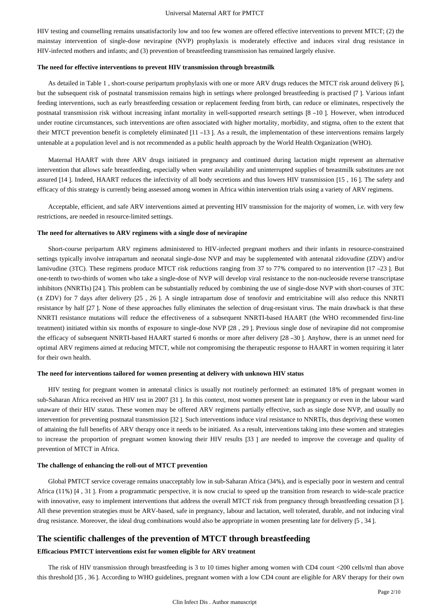HIV testing and counselling remains unsatisfactorily low and too few women are offered effective interventions to prevent MTCT; (2) the mainstay intervention of single-dose nevirapine (NVP) prophylaxis is moderately effective and induces viral drug resistance in HIV-infected mothers and infants; and (3) prevention of breastfeeding transmission has remained largely elusive.

#### **The need for effective interventions to prevent HIV transmission through breastmilk**

As detailed in Table 1 , short-course peripartum prophylaxis with one or more ARV drugs reduces the MTCT risk around delivery [6 ], but the subsequent risk of postnatal transmission remains high in settings where prolonged breastfeeding is practised [7 ]. Various infant feeding interventions, such as early breastfeeding cessation or replacement feeding from birth, can reduce or eliminates, respectively the postnatal transmission risk without increasing infant mortality in well-supported research settings [8 –10 ]. However, when introduced under routine circumstances, such interventions are often associated with higher mortality, morbidity, and stigma, often to the extent that their MTCT prevention benefit is completely eliminated [11 –13 ]. As a result, the implementation of these interventions remains largely untenable at a population level and is not recommended as a public health approach by the World Health Organization (WHO).

Maternal HAART with three ARV drugs initiated in pregnancy and continued during lactation might represent an alternative intervention that allows safe breastfeeding, especially when water availability and uninterrupted supplies of breastmilk substitutes are not assured [14 ]. Indeed, HAART reduces the infectivity of all body secretions and thus lowers HIV transmission [15 , 16 ]. The safety and efficacy of this strategy is currently being assessed among women in Africa within intervention trials using a variety of ARV regimens.

Acceptable, efficient, and safe ARV interventions aimed at preventing HIV transmission for the majority of women, i.e. with very few restrictions, are needed in resource-limited settings.

#### **The need for alternatives to ARV regimens with a single dose of nevirapine**

Short-course peripartum ARV regimens administered to HIV-infected pregnant mothers and their infants in resource-constrained settings typically involve intrapartum and neonatal single-dose NVP and may be supplemented with antenatal zidovudine (ZDV) and/or lamivudine (3TC). These regimens produce MTCT risk reductions ranging from 37 to 77% compared to no intervention [17 –23]. But one-tenth to two-thirds of women who take a single-dose of NVP will develop viral resistance to the non-nucleoside reverse transcriptase inhibitors (NNRTIs) [24 ]. This problem can be substantially reduced by combining the use of single-dose NVP with short-courses of 3TC (± ZDV) for 7 days after delivery [25 , 26 ]. A single intrapartum dose of tenofovir and emtricitabine will also reduce this NNRTI resistance by half [27 ]. None of these approaches fully eliminates the selection of drug-resistant virus. The main drawback is that these NNRTI resistance mutations will reduce the effectiveness of a subsequent NNRTI-based HAART (the WHO recommended first-line treatment) initiated within six months of exposure to single-dose NVP [28 , 29 ]. Previous single dose of nevirapine did not compromise the efficacy of subsequent NNRTI-based HAART started 6 months or more after delivery [28 –30 ]. Anyhow, there is an unmet need for optimal ARV regimens aimed at reducing MTCT, while not compromising the therapeutic response to HAART in women requiring it later for their own health.

#### **The need for interventions tailored for women presenting at delivery with unknown HIV status**

HIV testing for pregnant women in antenatal clinics is usually not routinely performed: an estimated 18% of pregnant women in sub-Saharan Africa received an HIV test in 2007 [31 ]. In this context, most women present late in pregnancy or even in the labour ward unaware of their HIV status. These women may be offered ARV regimens partially effective, such as single dose NVP, and usually no intervention for preventing postnatal transmission [32 ]. Such interventions induce viral resistance to NNRTIs, thus depriving these women of attaining the full benefits of ARV therapy once it needs to be initiated. As a result, interventions taking into these women and strategies to increase the proportion of pregnant women knowing their HIV results [33 ] are needed to improve the coverage and quality of prevention of MTCT in Africa.

#### **The challenge of enhancing the roll-out of MTCT prevention**

Global PMTCT service coverage remains unacceptably low in sub-Saharan Africa (34%), and is especially poor in western and central Africa (11%) [4 , 31 ]. From a programmatic perspective, it is now crucial to speed up the transition from research to wide-scale practice with innovative, easy to implement interventions that address the overall MTCT risk from pregnancy through breastfeeding cessation [3 ]. All these prevention strategies must be ARV-based, safe in pregnancy, labour and lactation, well tolerated, durable, and not inducing viral drug resistance. Moreover, the ideal drug combinations would also be appropriate in women presenting late for delivery [5 , 34 ].

## **The scientific challenges of the prevention of MTCT through breastfeeding**

#### **Efficacious PMTCT interventions exist for women eligible for ARV treatment**

The risk of HIV transmission through breastfeeding is 3 to 10 times higher among women with CD4 count <200 cells/ml than above this threshold [35 , 36 ]. According to WHO guidelines, pregnant women with a low CD4 count are eligible for ARV therapy for their own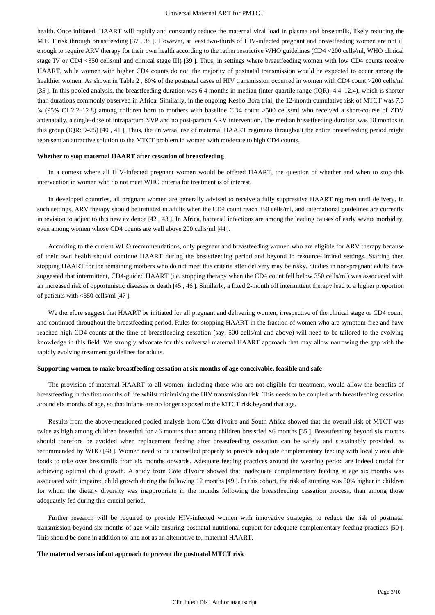health. Once initiated, HAART will rapidly and constantly reduce the maternal viral load in plasma and breastmilk, likely reducing the MTCT risk through breastfeeding [37 , 38 ]. However, at least two-thirds of HIV-infected pregnant and breastfeeding women are not ill enough to require ARV therapy for their own health according to the rather restrictive WHO guidelines (CD4 <200 cells/ml, WHO clinical stage IV or CD4 <350 cells/ml and clinical stage III) [39 ]. Thus, in settings where breastfeeding women with low CD4 counts receive HAART, while women with higher CD4 counts do not, the majority of postnatal transmission would be expected to occur among the healthier women. As shown in Table 2, 80% of the postnatal cases of HIV transmission occurred in women with CD4 count >200 cells/ml [35]. In this pooled analysis, the breastfeeding duration was 6.4 months in median (inter-quartile range (IQR): 4.4–12.4), which is shorter than durations commonly observed in Africa. Similarly, in the ongoing Kesho Bora trial, the 12-month cumulative risk of MTCT was 7.5 % (95% CI 2.2–12.8) among children born to mothers with baseline CD4 count >500 cells/ml who received a short-course of ZDV antenatally, a single-dose of intrapartum NVP and no post-partum ARV intervention. The median breastfeeding duration was 18 months in this group (IQR: 9–25) [40 , 41 ]. Thus, the universal use of maternal HAART regimens throughout the entire breastfeeding period might represent an attractive solution to the MTCT problem in women with moderate to high CD4 counts.

#### **Whether to stop maternal HAART after cessation of breastfeeding**

In a context where all HIV-infected pregnant women would be offered HAART, the question of whether and when to stop this intervention in women who do not meet WHO criteria for treatment is of interest.

In developed countries, all pregnant women are generally advised to receive a fully suppressive HAART regimen until delivery. In such settings, ARV therapy should be initiated in adults when the CD4 count reach 350 cells/ml, and international guidelines are currently in revision to adjust to this new evidence [42 , 43 ]. In Africa, bacterial infections are among the leading causes of early severe morbidity, even among women whose CD4 counts are well above 200 cells/ml [44 ].

According to the current WHO recommendations, only pregnant and breastfeeding women who are eligible for ARV therapy because of their own health should continue HAART during the breastfeeding period and beyond in resource-limited settings. Starting then stopping HAART for the remaining mothers who do not meet this criteria after delivery may be risky. Studies in non-pregnant adults have suggested that intermittent, CD4-guided HAART (i.e. stopping therapy when the CD4 count fell below 350 cells/ml) was associated with an increased risk of opportunistic diseases or death [45 , 46 ]. Similarly, a fixed 2-month off intermittent therapy lead to a higher proportion of patients with <350 cells/ml [47 ].

We therefore suggest that HAART be initiated for all pregnant and delivering women, irrespective of the clinical stage or CD4 count, and continued throughout the breastfeeding period. Rules for stopping HAART in the fraction of women who are symptom-free and have reached high CD4 counts at the time of breastfeeding cessation (say, 500 cells/ml and above) will need to be tailored to the evolving knowledge in this field. We strongly advocate for this universal maternal HAART approach that may allow narrowing the gap with the rapidly evolving treatment guidelines for adults.

#### **Supporting women to make breastfeeding cessation at six months of age conceivable, feasible and safe**

The provision of maternal HAART to all women, including those who are not eligible for treatment, would allow the benefits of breastfeeding in the first months of life whilst minimising the HIV transmission risk. This needs to be coupled with breastfeeding cessation around six months of age, so that infants are no longer exposed to the MTCT risk beyond that age.

Results from the above-mentioned pooled analysis from Côte d'Ivoire and South Africa showed that the overall risk of MTCT was twice as high among children breastfed for >6 months than among children breastfed ≤6 months [35 ]. Breastfeeding beyond six months should therefore be avoided when replacement feeding after breastfeeding cessation can be safely and sustainably provided, as recommended by WHO [48 ]. Women need to be counselled properly to provide adequate complementary feeding with locally available foods to take over breastmilk from six months onwards. Adequate feeding practices around the weaning period are indeed crucial for achieving optimal child growth. A study from Côte d'Ivoire showed that inadequate complementary feeding at age six months was associated with impaired child growth during the following 12 months [49 ]. In this cohort, the risk of stunting was 50% higher in children for whom the dietary diversity was inappropriate in the months following the breastfeeding cessation process, than among those adequately fed during this crucial period.

Further research will be required to provide HIV-infected women with innovative strategies to reduce the risk of postnatal transmission beyond six months of age while ensuring postnatal nutritional support for adequate complementary feeding practices [50 ]. This should be done in addition to, and not as an alternative to, maternal HAART.

#### **The maternal versus infant approach to prevent the postnatal MTCT risk**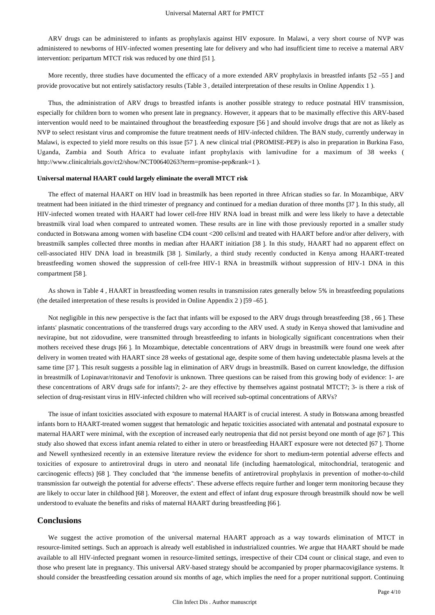ARV drugs can be administered to infants as prophylaxis against HIV exposure. In Malawi, a very short course of NVP was administered to newborns of HIV-infected women presenting late for delivery and who had insufficient time to receive a maternal ARV intervention: peripartum MTCT risk was reduced by one third [51 ].

More recently, three studies have documented the efficacy of a more extended ARV prophylaxis in breastfed infants [52 –55 ] and provide provocative but not entirely satisfactory results (Table 3 , detailed interpretation of these results in Online Appendix 1 ).

Thus, the administration of ARV drugs to breastfed infants is another possible strategy to reduce postnatal HIV transmission, especially for children born to women who present late in pregnancy. However, it appears that to be maximally effective this ARV-based intervention would need to be maintained throughout the breastfeeding exposure [56 ] and should involve drugs that are not as likely as NVP to select resistant virus and compromise the future treatment needs of HIV-infected children. The BAN study, currently underway in Malawi, is expected to yield more results on this issue [57 ]. A new clinical trial (PROMISE-PEP) is also in preparation in Burkina Faso, Uganda, Zambia and South Africa to evaluate infant prophylaxis with lamivudine for a maximum of 38 weeks ( http://www.clinicaltrials.gov/ct2/show/NCT00640263?term=promise-pep&rank=1 ).

#### **Universal maternal HAART could largely eliminate the overall MTCT risk**

The effect of maternal HAART on HIV load in breastmilk has been reported in three African studies so far. In Mozambique, ARV treatment had been initiated in the third trimester of pregnancy and continued for a median duration of three months [37 ]. In this study, all HIV-infected women treated with HAART had lower cell-free HIV RNA load in breast milk and were less likely to have a detectable breastmilk viral load when compared to untreated women. These results are in line with those previously reported in a smaller study conducted in Botswana among women with baseline CD4 count <200 cells/ml and treated with HAART before and/or after delivery, with breastmilk samples collected three months in median after HAART initiation [38 ]. In this study, HAART had no apparent effect on cell-associated HIV DNA load in breastmilk [38 ]. Similarly, a third study recently conducted in Kenya among HAART-treated breastfeeding women showed the suppression of cell-free HIV-1 RNA in breastmilk without suppression of HIV-1 DNA in this compartment [58 ].

As shown in Table 4 , HAART in breastfeeding women results in transmission rates generally below 5% in breastfeeding populations (the detailed interpretation of these results is provided in Online Appendix 2 ) [59 –65 ].

Not negligible in this new perspective is the fact that infants will be exposed to the ARV drugs through breastfeeding [38 , 66 ]. These infants' plasmatic concentrations of the transferred drugs vary according to the ARV used. A study in Kenya showed that lamivudine and nevirapine, but not zidovudine, were transmitted through breastfeeding to infants in biologically significant concentrations when their mothers received these drugs [66 ]. In Mozambique, detectable concentrations of ARV drugs in breastmilk were found one week after delivery in women treated with HAART since 28 weeks of gestational age, despite some of them having undetectable plasma levels at the same time [37 ]. This result suggests a possible lag in elimination of ARV drugs in breastmilk. Based on current knowledge, the diffusion in breastmilk of Lopinavar/ritonavir and Tenofovir is unknown. Three questions can be raised from this growing body of evidence: 1- are these concentrations of ARV drugs safe for infants?; 2- are they effective by themselves against postnatal MTCT?; 3- is there a risk of selection of drug-resistant virus in HIV-infected children who will received sub-optimal concentrations of ARVs?

The issue of infant toxicities associated with exposure to maternal HAART is of crucial interest. A study in Botswana among breastfed infants born to HAART-treated women suggest that hematologic and hepatic toxicities associated with antenatal and postnatal exposure to maternal HAART were minimal, with the exception of increased early neutropenia that did not persist beyond one month of age [67 ]. This study also showed that excess infant anemia related to either in utero or breastfeeding HAART exposure were not detected [67 ]. Thorne and Newell synthesized recently in an extensive literature review the evidence for short to medium-term potential adverse effects and toxicities of exposure to antiretroviral drugs in utero and neonatal life (including haematological, mitochondrial, teratogenic and carcinogenic effects) [68 ]. They concluded that "the immense benefits of antiretroviral prophylaxis in prevention of mother-to-child transmission far outweigh the potential for adverse effects". These adverse effects require further and longer term monitoring because they are likely to occur later in childhood [68 ]. Moreover, the extent and effect of infant drug exposure through breastmilk should now be well understood to evaluate the benefits and risks of maternal HAART during breastfeeding [66 ].

### **Conclusions**

We suggest the active promotion of the universal maternal HAART approach as a way towards elimination of MTCT in resource-limited settings. Such an approach is already well established in industrialized countries. We argue that HAART should be made available to all HIV-infected pregnant women in resource-limited settings, irrespective of their CD4 count or clinical stage, and even to those who present late in pregnancy. This universal ARV-based strategy should be accompanied by proper pharmacovigilance systems. It should consider the breastfeeding cessation around six months of age, which implies the need for a proper nutritional support. Continuing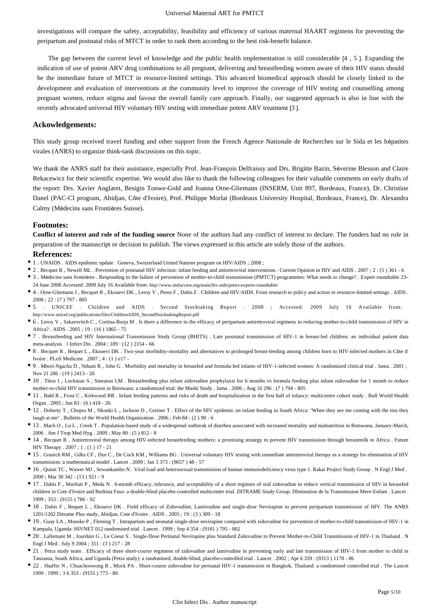#### Universal Maternal ART for PMTCT

investigations will compare the safety, acceptability, feasibility and efficiency of various maternal HAART regimens for preventing the peripartum and postnatal risks of MTCT in order to rank them according to the best risk-benefit balance.

The gap between the current level of knowledge and the public health implementation is still considerable [4 , 5 ]. Expanding the indication of use of potent ARV drug combinations to all pregnant, delivering and breastfeeding women aware of their HIV status should be the immediate future of MTCT in resource-limited settings. This advanced biomedical approach should be closely linked to the development and evaluation of interventions at the community level to improve the coverage of HIV testing and counselling among pregnant women, reduce stigma and favour the overall family care approach. Finally, our suggested approach is also in line with the recently advocated universal HIV voluntary HIV testing with immediate potent ARV treatment [3 ].

## **Ackowledgements:**

This study group received travel funding and other support from the French Agence Nationale de Recherches sur le Sida et les hépatites virales (ANRS) to organize think-tank discussions on this topic.

We thank the ANRS staff for their assistance, especially Prof. Jean-François Delfraissy and Drs. Brigitte Bazin, Séverine Blesson and Claire Rekacewicz for their scientific expertise. We would also like to thank the following colleagues for their valuable comments on early drafts of the report: Drs. Xavier Anglaret, Besigin Tonwe-Gold and Joanna Orne-Gliemann (INSERM, Unit 897, Bordeaux, France), Dr. Christine Danel (PAC-CI program, Abidjan, Côte d'Ivoire), Prof. Philippe Morlat (Bordeaux University Hospital, Bordeaux, France), Dr. Alexandra Calmy (Médecins sans Frontières Suisse).

#### **Footnotes:**

**Conflict of interest and role of the funding source** None of the authors had any conflict of interest to declare. The funders had no role in preparation of the manuscript or decision to publish. The views expressed in this article are solely those of the authors.

#### **References:**

- 1 . UNAIDS . AIDS epidemic update . Geneva, Switzerland United Nations program on HIV/AIDS ; 2008 ;
- 2 . Becquet R , Newell ML . Prevention of postnatal HIV infection: infant feeding and antiretroviral interventions . Current Opinion in HIV and AIDS . 2007 ; 2 : (5 ) 361 6
- 3 . Médecins sans frontières . Responding to the failure of prevention of mother-to-child transmission (PMTCT) programmes: What needs to change? . Expert roundtable 23– 24 June 2008 Accessed: 2009 July 16 Available from: http://www.msfaccess.org/main/hiv-aids/pmtct-experts-roundtable/
- 4 . Orne-Gliemann J , Becquet R , Ekouevi DK , Leroy V , Perez F , Dabis F . Children and HIV/AIDS. From research to policy and action in resource-limited settings . AIDS . 2008 ; 22 : (7 ) 797 - 805
- 5 . UNICEF . Children and AIDS . Second Stocktaking Report . 2008 ; Accessed: 2009 July 16 Available from: http://www.unicef.org/publications/files/ChildrenAIDS\_SecondStocktakingReport.pdf
- 6 . Leroy V , Sakarovitch C , Cortina-Borja M . Is there a difference in the efficacy of peripartum antiretroviral regimens in reducing mother-to-child transmission of HIV in Africa? . AIDS . 2005 ; 19 : (16 ) 1865 - 75
- 7 . Breastfeeding and HIV International Transmission Study Group (BHITS) . Late postnatal transmission of HIV-1 in breast-fed children: an individual patient data meta-analysis . J Infect Dis . 2004 ; 189 : (12 ) 2154 - 66
- 8 . Becquet R , Bequet L , Ekouevi DK . Two-year morbidity–mortality and alternatives to prolonged breast-feeding among children born to HIV-infected mothers in Côte d' Ivoire . PLoS Medicine .  $2007 \cdot 4 \cdot (1)$  e17 -
- 9 . Mbori-Ngacha D , Nduati R , John G . Morbidity and mortality in breastfed and formula-fed infants of HIV-1-infected women: A randomized clinical trial . Jama . 2001 ; Nov 21 286  $\cdot$  (19) 2413 - 20
- 10 . Thior I , Lockman S , Smeaton LM . Breastfeeding plus infant zidovudine prophylaxis for 6 months vs formula feeding plus infant zidovudine for 1 month to reduce mother-to-child HIV transmission in Botswana: a randomized trial: the Mashi Study . Jama . 2006 ; Aug 16 296 : (7 ) 794 - 805
- 11 . Bahl R , Frost C , Kirkwood BR . Infant feeding patterns and risks of death and hospitalization in the first half of infancy: multicentre cohort study . Bull World Health Organ . 2005 ; Jun 83 : (6 ) 418 - 26
- 12 . Doherty T , Chopra M , Nkonki L , Jackson D , Greiner T . Effect of the HIV epidemic on infant feeding in South Africa: "When they see me coming with the tins they laugh at me" . Bulletin of the World Health Organization . 2006 ; Feb 84 : (2 ) 90 - 6
- 13 . Mach O , Lu L , Creek T . Population-based study of a widespread outbreak of diarrhea associated with increased mortality and malnutrition in Botswana, January-March, 2006 . Am J Trop Med Hyg . 2009 ; May 80 : (5 ) 812 - 8
- 14 . Becquet R . Antiretroviral therapy among HIV-infected breastfeeding mothers: a promising strategy to prevent HIV transmission through breastmilk in Africa . Future HIV Therapy . 2007 ; 1 : (1 ) 17 - 21
- 15 . Granich RM , Gilks CF , Dye C , De Cock KM , Williams BG . Universal voluntary HIV testing with immediate antiretroviral therapy as a strategy for elimination of HIV transmission: a mathematical model . Lancet . 2009 ; Jan 3 373 : (9657 ) 48 - 57
- 16 . Quinn TC , Wawer MJ , Sewankambo N . Viral load and heterosexual transmission of human immunodeficiency virus type 1. Rakai Project Study Group . N Engl J Med . 2000 ; Mar 30 342 : (13 ) 921 - 9
- 17 . Dabis F , Msellati P , Meda N . 6-month efficacy, tolerance, and acceptability of a short regimen of oral zidovudine to reduce vertical transmission of HIV in breastfed children in Cote d'Ivoire and Burkina Faso: a double-blind placebo-controlled multicentre trial. DITRAME Study Group. DIminution de la Transmission Mere-Enfant . Lancet . 1999 ; 353 : (9155 ) 786 - 92
- 18 . Dabis F , Bequet L , Ekouevi DK . Field efficacy of Zidovudine, Lamivudine and single-dose Nevirapine to prevent peripartum transmission of HIV. The ANRS 1201/1202 Ditrame Plus study, Abidjan, Cote d'Ivoire . AIDS . 2005 ; 19 : (3 ) 309 - 18
- 19 . Guay LA , Musoke P , Fleming T . Intrapartum and neonatal single-dose nevirapine compared with zidovudine for prevention of mother-to-child transmission of HIV-1 in Kampala, Uganda: HIVNET 012 randomised trial . Lancet . 1999 ; Sep 4 354 : (9181 ) 795 - 802
- 20 . Lallemant M , Jourdain G , Le Coeur S . Single-Dose Perinatal Nevirapine plus Standard Zidovudine to Prevent Mother-to-Child Transmission of HIV-1 in Thailand . N Engl J Med . July 9 2004 ; 351 : (3 ) 217 - 28
- 21 . Petra study team . Efficacy of three short-course regimens of zidovudine and lamivudine in preventing early and late transmission of HIV-1 from mother to child in Tanzania, South Africa, and Uganda (Petra study): a randomised, double-blind, placebo-controlled trial . Lancet . 2002 ; Apr 6 359 : (9313 ) 1178 - 86
- 22 . Shaffer N , Chuachoowong R , Mock PA . Short-course zidovudine for perinatal HIV-1 transmission in Bangkok, Thailand: a randomised controlled trial . The Lancet 1999 . 1999 ; 3 6 353 : (9155 ) 773 - 80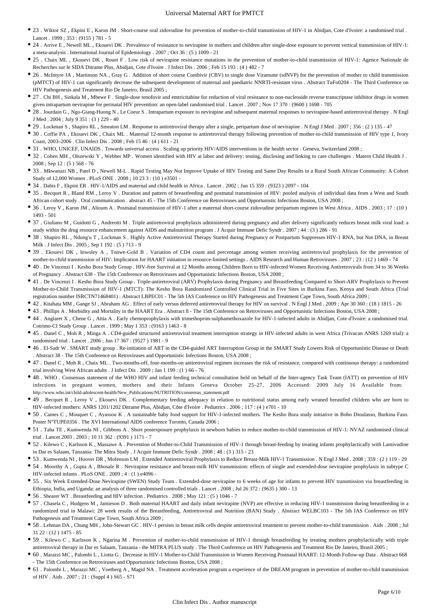- 23 . Wiktor SZ , Ekpini E , Karon JM . Short-course oral zidovudine for prevention of mother-to-child transmission of HIV-1 in Abidjan, Cote d'Ivoire: a randomised trial . Lancet . 1999 ; 353 : (9155 ) 781 - 5
- 24 . Arrive E, Newell ML, Ekouevi DK. Prevalence of resistance to nevirapine in mothers and children after single-dose exposure to prevent vertical transmission of HIV-1: a meta-analysis . International Journal of Epidemiology . 2007 ; Oct 36 : (5 ) 1009 - 21
- 25 . Chaix ML , Ekouevi DK , Rouet F . Low risk of nevirapine resistance mutations in the prevention of mother-to-child transmission of HIV-1: Agence Nationale de Recherches sur le SIDA Ditrame Plus, Abidjan, Cote d'Ivoire . J Infect Dis . 2006 ; Feb 15 193 : (4 ) 482 - 7
- 26 . McIntyre JA , Martinson NA , Gray G . Addition of short course Combivir (CBV) to single dose Viramune (sdNVP) for the prevention of mother to child transmission (pMTCT) of HIV-1 can significantly decrease the subsequent development of maternal and paediatric NNRTI-resistant virus . Abstract TuFo0204 - The Third Conference on HIV Pathogenesis and Treatment Rio De Janeiro, Brasil 2005 ;
- 27. Chi BH, Sinkala M, Mbewe F. Single-dose tenofovir and emtricitabine for reduction of viral resistance to non-nucleoside reverse transcriptase inhibitor drugs in women given intrapartum nevirapine for perinatal HIV prevention: an open-label randomised trial . Lancet . 2007 ; Nov 17 370 : (9600 ) 1698 - 705
- 28 . Jourdain G , Ngo-Giang-Huong N , Le Coeur S . Intrapartum exposure to nevirapine and subsequent maternal responses to nevirapine-based antiretroviral therapy . N Engl J Med . 2004 ; July 9 351 : (3 ) 229 - 40
- 29 . Lockman S , Shapiro RL , Smeaton LM . Response to antiretroviral therapy after a single, peripartum dose of nevirapine . N Engl J Med . 2007 ; 356 : (2 ) 135 47
- 30 . Coffie PA , Ekouevi DK , Chaix ML . Maternal 12-month response to antiretroviral therapy following prevention of mother-to-child transmission of HIV type 1, Ivory Coast, 2003–2006 . Clin Infect Dis . 2008 ; Feb 15 46 : (4 ) 611 - 21
- 31 . WHO, UNICEF, UNAIDS . Towards universal access . Scaling up priority HIV/AIDS interventions in the health sector . Geneva, Switzerland 2008 ;
- 32 . Cohen MH , Olszewski Y , Webber MP . Women identified with HIV at labor and delivery: testing, disclosing and linking to care challenges . Matern Child Health J . 2008 ; Sep 12 : (5 ) 568 - 76
- 33 . Mkwanazi NB , Patel D , Newell M-L . Rapid Testing May Not Improve Uptake of HIV Testing and Same Day Results in a Rural South African Community: A Cohort Study of 12,000 Women . PLoS ONE . 2008 ; 10 23 3 : (10 ) e3501 -
- 34 . Dabis F , Ekpini ER . HIV-1/AIDS and maternal and child health in Africa . Lancet . 2002 ; Jun 15 359 : (9323 ) 2097 104
- 35 . Becquet R , Bland RM , Leroy V . Duration and pattern of breastfeeding and postnatal transmission of HIV: pooled analysis of individual data from a West and South African cohort study . Oral communication . abstract 45 - The 15th Conference on Retroviruses and Opportunistic Infections Boston, USA 2008 ;
- 36 . Leroy V , Karon JM , Alioum A . Postnatal transmission of HIV-1 after a maternal short-course zidovudine peripartum regimen in West Africa . AIDS . 2003 ; 17 : (10 ) 1493 - 501
- 37 . Giuliano M , Guidotti G , Andreotti M . Triple antiretroviral prophylaxis administered during pregnancy and after delivery significantly reduces breast milk viral load: a study within the drug resource enhancement against AIDS and malnutrition program . J Acquir Immune Defic Syndr . 2007 ; 44 : (3 ) 286 - 91
- 38 . Shapiro RL , Ndung'u T , Lockman S . Highly Active Antiretroviral Therapy Started during Pregnancy or Postpartum Suppresses HIV-1 RNA, but Not DNA, in Breast Milk . J Infect Dis . 2005 ; Sep 1 192 : (5 ) 713 - 9
- 39 . Ekouevi DK, Inwoley A, Tonwe-Gold B. Variation of CD4 count and percentage among women receiving antiretroviral prophylaxis for the prevention of mother-to-child transmission of HIV: Implication for HAART initiation in resource-limited settings . AIDS Research and Human Retroviruses . 2007 ; 23 : (12 ) 1469 - 74
- 40 . De Vincenzi I . Kesho Bora Study Group . HIV-free Survival at 12 Months among Children Born to HIV-infected Women Receiving Antiretrovirals from 34 to 36 Weeks of Pregnancy . Abstract 638 - The 15th Conference on Retroviruses and Opportunistic Infections Boston, USA 2008 ;
- 41 . De Vincenzi I . Kesho Bora Study Group . Triple-antiretroviral (ARV) Prophylaxis during Pregnancy and Breastfeeding Compared to Short-ARV Prophylaxis to Prevent Mother-to-Child Transmission of HIV-1 (MTCT): The Kesho Bora Randomized Controlled Clinical Trial in Five Sites in Burkina Faso, Kenya and South Africa (Trial registration number ISRCTN71468401) . Abstract LBPEC01 - The 5th IAS Conference on HIV Pathogenesis and Treatment Cape Town, South Africa 2009 ;
- 42 . Kitahata MM , Gange SJ , Abraham AG . Effect of early versus deferred antiretroviral therapy for HIV on survival . N Engl J Med . 2009 ; Apr 30 360 : (18 ) 1815 26
- 43 . Phillips A . Morbidity and Mortality in the HAART Era . Abstract 8 The 15th Conference on Retroviruses and Opportunistic Infections Boston, USA 2008 ;
- 44 . Anglaret X , Chene G , Attia A . Early chemoprophylaxis with trimethoprim-sulphamethoxazole for HIV-1-infected adults in Abidjan, Cote d'Ivoire: a randomised trial. Cotrimo-CI Study Group . Lancet . 1999 ; May 1 353 : (9163 ) 1463 - 8
- 45 . Danel C , Moh R , Minga A . CD4-guided structured antiretroviral treatment interruption strategy in HIV-infected adults in west Africa (Trivacan ANRS 1269 trial): a randomised trial . Lancet . 2006 ; Jun 17 367 : (9527 ) 1981 - 9
- 46 . El-Sadr W . SMART study group . Re-initiation of ART in the CD4-guided ART Interruption Group in the SMART Study Lowers Risk of Opportunistic Disease or Death . Abstract 38 - The 15th Conference on Retroviruses and Opportunistic Infections Boston, USA 2008 ;
- 47 . Danel C , Moh R , Chaix ML . Two-months-off, four-months-on antiretroviral regimen increases the risk of resistance, compared with continuous therapy: a randomized trial involving West African adults . J Infect Dis . 2009 ; Jan 1 199 : (1 ) 66 - 76
- 48 . WHO . Consensus statement of the WHO HIV and infant feeding technical consultation held on behalf of the Inter-agency Task Team (IATT) on prevention of HIV infections in pregnant women, mothers and their Infants Geneva October 25–27, 2006 Accessed: 2009 July 16 Available from: http://www.who.int/child-adolescent-health/New\_Publications/NUTRITION/consensus\_statement.pdf
- 49 . Becquet R , Leroy V , Ekouevi DK . Complementary feeding adequacy in relation to nutritional status among early weaned breastfed children who are born to HIV-infected mothers: ANRS 1201/1202 Ditrame Plus, Abidjan, Côte d'Ivoire . Pediatrics . 2006 ; 117 : (4 ) e701 - 10
- 50 . Cames C , Mouquet C , Ayassou K . A sustainable baby food support for HIV-1-infected mothers. The Kesho Bora study initiative in Bobo Dioulasso, Burkina Faso. Poster N°TUPE0356 . The XVI International AIDS conference Toronto, Canada 2006 ;
- 51 . Taha TE , Kumwenda NI , Gibbons A . Short postexposure prophylaxis in newborn babies to reduce mother-to-child transmission of HIV-1: NVAZ randomised clinical trial . Lancet 2003 . 2003 ; 10 11 362 : (9391 ) 1171 - 7
- 52 . Kilewo C , Karlsson K , Massawe A . Prevention of Mother-to-Child Transmission of HIV-1 through breast-feeding by treating infants prophylactically with Lamivudine in Dar es Salaam, Tanzania: The Mitra Study . J Acquir Immune Defic Syndr . 2008 ; 48 : (3 ) 315 - 23
- 53 . Kumwenda NI , Hoover DR , Mofenson LM . Extended Antiretroviral Prophylaxis to Reduce Breast-Milk HIV-1 Transmission . N Engl J Med . 2008 ; 359 : (2 ) 119 29
- 54 . Moorthy A , Gupta A , Bhosale R . Nevirapine resistance and breast-milk HIV transmission: effects of single and extended-dose nevirapine prophylaxis in subtype C HIV-infected infants . PLoS ONE . 2009 ; 4 : (1 ) e4096 -
- 55 . Six Week Extended-Dose Nevirapine (SWEN) Study Team . Extended-dose nevirapine to 6 weeks of age for infants to prevent HIV transmission via breastfeeding in Ethiopia, India, and Uganda: an analysis of three randomised controlled trials . Lancet . 2008 ; Jul 26 372 : (9635 ) 300 - 13
- 56 . Shearer WT . Breastfeeding and HIV infection . Pediatrics . 2008 ; May 121 : (5 ) 1046 7
- 57 . Chasela C , Hudgens M , Jamieson D . Both maternal HAART and daily infant nevirapine (NVP) are effective in reducing HIV-1 transmission during breastfeeding in a randomized trial in Malawi: 28 week results of the Breastfeeding, Antiretroviral and Nutrition (BAN) Study . Abstract WELBC103 - The 5th IAS Conference on HIV Pathogenesis and Treatment Cape Town, South Africa 2009 ;
- 58 . Lehman DA , Chung MH , John-Stewart GC . HIV-1 persists in breast milk cells despite antiretroviral treatment to prevent mother-to-child transmission . Aids . 2008 ; Jul 31 22 : (12 ) 1475 - 85
- 59 . Kilewo C , Karlsson K , Ngarina M . Prevention of mother-to-child transmission of HIV-1 through breastfeeding by treating mothers prophylactically with triple antiretroviral therapy in Dar es Salaam, Tanzania - the MITRA PLUS study . The Third Conference on HIV Pathogenesis and Treatment Rio De Janeiro, Brasil 2005 ;
- 60 . Marazzi MC , Palombi L , Liotta G . Decrease in HIV-1 Mother-to-Child Transmission in Women Receiving Postnatal HAART: 12-Month Follow-up Data . Abstract 668 - The 15th Conference on Retroviruses and Opportunistic Infections Boston, USA 2008 ;
- 61 . Palombi L , Marazzi MC , Voetberg A , Magid NA . Treatment acceleration program a experience of the DREAM program in prevention of mother-to-child transmission of HIV . Aids . 2007 ; 21 : (Suppl 4 ) S65 - S71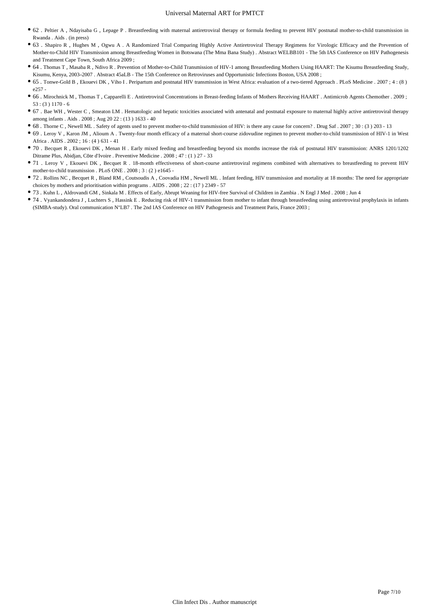- 62 . Peltier A , Ndayisaba G , Lepage P . Breastfeeding with maternal antiretroviral therapy or formula feeding to prevent HIV postnatal mother-to-child transmission in Rwanda . Aids . (in press)
- 63 . Shapiro R , Hughes M , Ogwu A . A Randomized Trial Comparing Highly Active Antiretroviral Therapy Regimens for Virologic Efficacy and the Prevention of Mother-to-Child HIV Transmission among Breastfeeding Women in Botswana (The Mma Bana Study) . Abstract WELBB101 - The 5th IAS Conference on HIV Pathogenesis and Treatment Cape Town, South Africa 2009 ;
- 64 . Thomas T , Masaba R , Ndivo R . Prevention of Mother-to-Child Transmission of HIV-1 among Breastfeeding Mothers Using HAART: The Kisumu Breastfeeding Study, Kisumu, Kenya, 2003–2007 . Abstract 45aLB - The 15th Conference on Retroviruses and Opportunistic Infections Boston, USA 2008 ;
- 65 . Tonwe-Gold B , Ekouevi DK , Viho I . Peripartum and postnatal HIV transmission in West Africa: evaluation of a two-tiered Approach . PLoS Medicine . 2007 ; 4 : (8 ) e257 -
- 66 . Mirochnick M , Thomas T , Capparelli E . Antiretroviral Concentrations in Breast-feeding Infants of Mothers Receiving HAART . Antimicrob Agents Chemother . 2009 ; 53 : (3 ) 1170 - 6
- 67 . Bae WH , Wester C , Smeaton LM . Hematologic and hepatic toxicities associated with antenatal and postnatal exposure to maternal highly active antiretroviral therapy among infants . Aids . 2008 ; Aug 20 22 : (13 ) 1633 - 40
- 68 . Thorne C , Newell ML . Safety of agents used to prevent mother-to-child transmission of HIV: is there any cause for concern? . Drug Saf . 2007 ; 30 : (3 ) 203 13
- 69 . Leroy V , Karon JM , Alioum A . Twenty-four month efficacy of a maternal short-course zidovudine regimen to prevent mother-to-child transmission of HIV-1 in West Africa . AIDS . 2002 ; 16 : (4 ) 631 - 41
- 70 . Becquet R , Ekouevi DK , Menan H . Early mixed feeding and breastfeeding beyond six months increase the risk of postnatal HIV transmission: ANRS 1201/1202 Ditrame Plus, Abidjan, Côte d'Ivoire . Preventive Medicine . 2008 ; 47 : (1 ) 27 - 33
- 71 . Leroy V , Ekouevi DK , Becquet R . 18-month effectiveness of short-course antiretroviral regimens combined with alternatives to breastfeeding to prevent HIV mother-to-child transmission . PLoS ONE . 2008 ; 3 : (2 ) e1645 -
- 72 . Rollins NC , Becquet R , Bland RM , Coutsoudis A , Coovadia HM , Newell ML . Infant feeding, HIV transmission and mortality at 18 months: The need for appropriate choices by mothers and prioritisation within programs . AIDS . 2008 ; 22 : (17 ) 2349 - 57
- 73 . Kuhn L , Aldrovandi GM , Sinkala M . Effects of Early, Abrupt Weaning for HIV-free Survival of Children in Zambia . N Engl J Med . 2008 ; Jun 4
- 74 . Vyankandondera J , Luchters S , Hassink E . Reducing risk of HIV-1 transmission from mother to infant through breastfeeding using antiretroviral prophylaxis in infants (SIMBA-study). Oral communication N°LB7 . The 2nd IAS Conference on HIV Pathogenesis and Treatment Paris, France 2003 ;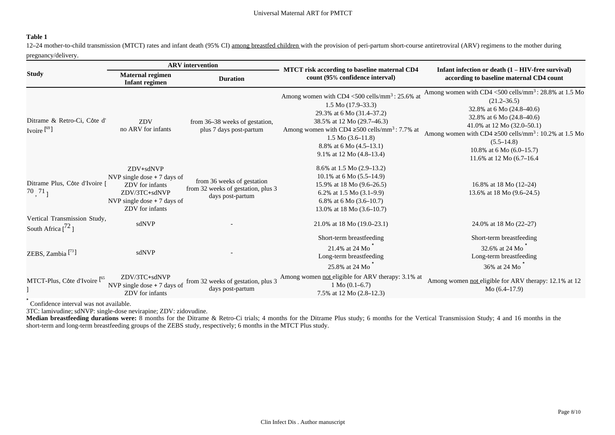## **Table 1**

12–24 mother-to-child transmission (MTCT) rates and infant death (95% CI) among breastfed children with the provision of peri-partum short-course antiretroviral (ARV) regimens to the mother during pregnancy/delivery.

|                                                              | <b>ARV</b> intervention                                                                                                          |                                                                                      |                                                                                                                                                                                                                                                                                                                |                                                                                                                                                                                                                                                                                                                                     |  |
|--------------------------------------------------------------|----------------------------------------------------------------------------------------------------------------------------------|--------------------------------------------------------------------------------------|----------------------------------------------------------------------------------------------------------------------------------------------------------------------------------------------------------------------------------------------------------------------------------------------------------------|-------------------------------------------------------------------------------------------------------------------------------------------------------------------------------------------------------------------------------------------------------------------------------------------------------------------------------------|--|
| <b>Study</b>                                                 | <b>Maternal regimen</b><br>Infant regimen                                                                                        | <b>Duration</b>                                                                      | MTCT risk according to baseline maternal CD4<br>count (95% confidence interval)                                                                                                                                                                                                                                | Infant infection or death (1 – HIV-free survival)<br>according to baseline maternal CD4 count                                                                                                                                                                                                                                       |  |
| Ditrame & Retro-Ci, Côte d'<br>Ivoire $[$ <sup>69</sup> ]    | ZDV<br>no ARV for infants                                                                                                        | from 36–38 weeks of gestation,<br>plus 7 days post-partum                            | Among women with CD4 <500 cells/mm <sup>3</sup> : 25.6% at<br>$1.5 Mo (17.9 - 33.3)$<br>29.3% at 6 Mo (31.4–37.2)<br>38.5% at 12 Mo (29.7–46.3)<br>Among women with CD4 $\geq$ 500 cells/mm <sup>3</sup> : 7.7% at<br>1.5 M <sub>0</sub> (3.6–11.8)<br>8.8% at 6 Mo $(4.5-13.1)$<br>9.1% at 12 Mo $(4.8-13.4)$ | Among women with CD4 <500 cells/mm <sup>3</sup> : 28.8% at 1.5 Mo<br>$(21.2 - 36.5)$<br>32.8% at 6 Mo (24.8-40.6)<br>32.8% at 6 Mo (24.8-40.6)<br>41.0% at 12 Mo (32.0–50.1)<br>Among women with CD4 $\geq$ 500 cells/mm <sup>3</sup> : 10.2% at 1.5 Mo<br>$(5.5 - 14.8)$<br>10.8% at 6 Mo $(6.0-15.7)$<br>11.6% at 12 Mo (6.7-16.4 |  |
| Ditrame Plus, Côte d'Ivoire [<br>$70, 71$ <sub>]</sub>       | ZDV+sdNVP<br>NVP single dose $+7$ days of<br>ZDV for infants<br>ZDV/3TC+sdNVP<br>NVP single dose $+7$ days of<br>ZDV for infants | from 36 weeks of gestation<br>from 32 weeks of gestation, plus 3<br>days post-partum | 8.6% at 1.5 Mo (2.9–13.2)<br>10.1% at 6 Mo $(5.5-14.9)$<br>15.9% at 18 Mo (9.6-26.5)<br>6.2% at 1.5 Mo $(3.1-9.9)$<br>6.8% at 6 Mo $(3.6-10.7)$<br>13.0% at 18 Mo (3.6–10.7)                                                                                                                                   | 16.8% at 18 Mo (12-24)<br>13.6% at 18 Mo (9.6-24.5)                                                                                                                                                                                                                                                                                 |  |
| Vertical Transmission Study,<br>South Africa $\binom{72}{ }$ | sdNVP                                                                                                                            |                                                                                      | 21.0% at 18 Mo (19.0–23.1)                                                                                                                                                                                                                                                                                     | 24.0% at 18 Mo (22–27)                                                                                                                                                                                                                                                                                                              |  |
| ZEBS, Zambia $[^{73}]$                                       | sdNVP                                                                                                                            |                                                                                      | Short-term breastfeeding<br>21.4% at 24 Mo<br>Long-term breastfeeding<br>25.8% at 24 Mo                                                                                                                                                                                                                        | Short-term breastfeeding<br>32.6% at 24 Mo<br>Long-term breastfeeding<br>36% at 24 Mo                                                                                                                                                                                                                                               |  |
| MTCT-Plus, Côte d'Ivoire <sup>[65</sup>                      | ZDV/3TC+sdNVP<br>NVP single dose $+7$ days of<br>ZDV for infants                                                                 | from 32 weeks of gestation, plus 3<br>days post-partum                               | Among women not eligible for ARV therapy: 3.1% at<br>1 M <sub>0</sub> (0.1–6.7)<br>7.5% at 12 Mo (2.8–12.3)                                                                                                                                                                                                    | Among women not eligible for ARV therapy: 12.1% at 12<br>Mo $(6.4-17.9)$                                                                                                                                                                                                                                                            |  |

\* Confidence interval was not available.

3TC: lamivudine; sdNVP: single-dose nevirapine; ZDV: zidovudine.

Median breastfeeding durations were: 8 months for the Ditrame & Retro-Ci trials; 4 months for the Ditrame Plus study; 6 months for the Vertical Transmission Study; 4 and 16 months in the short-term and long-term breastfeeding groups of the ZEBS study, respectively; 6 months in the MTCT Plus study.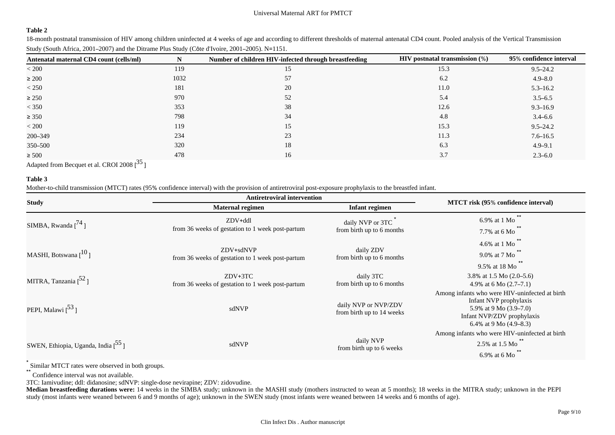#### **Table 2**

18-month postnatal transmission of HIV among children uninfected at 4 weeks of age and according to different thresholds of maternal antenatal CD4 count. Pooled analysis of the Vertical Transmission Study (South Africa, 2001–2007) and the Ditrame Plus Study (Côte d'Ivoire, 2001–2005). N=1151.

| Antenatal maternal CD4 count (cells/ml) | N    | Number of children HIV-infected through breastfeeding | <b>HIV</b> postnatal transmission $(\%)$ | 95% confidence interval |
|-----------------------------------------|------|-------------------------------------------------------|------------------------------------------|-------------------------|
| < 200                                   | 119  | 15                                                    | 15.3                                     | $9.5 - 24.2$            |
| $\geq 200$                              | 1032 | 57                                                    | 6.2                                      | $4.9 - 8.0$             |
| $<$ 250                                 | 181  | 20                                                    | 11.0                                     | $5.3 - 16.2$            |
| $\geq 250$                              | 970  | 52                                                    | 5.4                                      | $3.5 - 6.5$             |
| $<$ 350                                 | 353  | 38                                                    | 12.6                                     | $9.3 - 16.9$            |
| $\geq 350$                              | 798  | 34                                                    | 4.8                                      | $3.4 - 6.6$             |
| < 200                                   | 119  | 15                                                    | 15.3                                     | $9.5 - 24.2$            |
| 200-349                                 | 234  | 23                                                    | 11.3                                     | $7.6 - 16.5$            |
| 350–500                                 | 320  | 18                                                    | 6.3                                      | $4.9 - 9.1$             |
| $\geq 500$                              | 478  | 16                                                    | 3.7                                      | $2.3 - 6.0$             |

Adapted from Becquet et al. CROI 2008  $[^{35}]$ 

## **Table 3**

Mother-to-child transmission (MTCT) rates (95% confidence interval) with the provision of antiretroviral post-exposure prophylaxis to the breastfed infant.

|                                     | <b>Antiretroviral intervention</b>                            |                                                   |                                                                                                                                                                |  |
|-------------------------------------|---------------------------------------------------------------|---------------------------------------------------|----------------------------------------------------------------------------------------------------------------------------------------------------------------|--|
| <b>Study</b>                        | <b>Maternal regimen</b><br><b>Infant regimen</b>              |                                                   | MTCT risk (95% confidence interval)                                                                                                                            |  |
| SIMBA, Rwanda $[$ <sup>74</sup> ]   | $ZDV+ddl$<br>from 36 weeks of gestation to 1 week post-partum | daily NVP or 3TC<br>from birth up to 6 months     | $***$<br>6.9% at 1 Mo<br>7.7% at 6 Mo                                                                                                                          |  |
| MASHI, Botswana $[$ <sup>10</sup> ] | ZDV+sdNVP<br>from 36 weeks of gestation to 1 week post-partum | daily ZDV<br>from birth up to 6 months            | $**$<br>4.6% at 1 Mo<br>9.0% at 7 Mo<br>**<br>9.5% at 18 Mo                                                                                                    |  |
| MITRA, Tanzania $[$ <sup>52</sup> ] | $ZDV+3TC$<br>from 36 weeks of gestation to 1 week post-partum | daily 3TC<br>from birth up to 6 months            | 3.8% at 1.5 Mo $(2.0-5.6)$<br>4.9% at 6 Mo $(2.7–7.1)$                                                                                                         |  |
| PEPI, Malawi $\binom{53}{ }$        | sdNVP                                                         | daily NVP or NVP/ZDV<br>from birth up to 14 weeks | Among infants who were HIV-uninfected at birth<br>Infant NVP prophylaxis<br>5.9% at 9 Mo $(3.9-7.0)$<br>Infant NVP/ZDV prophylaxis<br>6.4% at 9 Mo $(4.9-8.3)$ |  |
| SWEN, Ethiopia, Uganda, India [55]  | sdNVP                                                         | daily NVP<br>from birth up to 6 weeks             | Among infants who were HIV-uninfected at birth<br>2.5% at 1.5 Mo<br>6.9% at 6 Mo                                                                               |  |

\* Similar MTCT rates were observed in both groups.

\* Confidence interval was not available.

3TC: Iamivudine; ddl: didanosine; sdNVP: single-dose nevirapine; ZDV: zidovudine.

**Median breastfeeding durations were:** 14 weeks in the SIMBA study; unknown in the MASHI study (mothers instructed to wean at 5 months); 18 weeks in the MITRA study; unknown in the PEPI study (most infants were weaned between 6 and 9 months of age); unknown in the SWEN study (most infants were weaned between 14 weeks and 6 months of age).